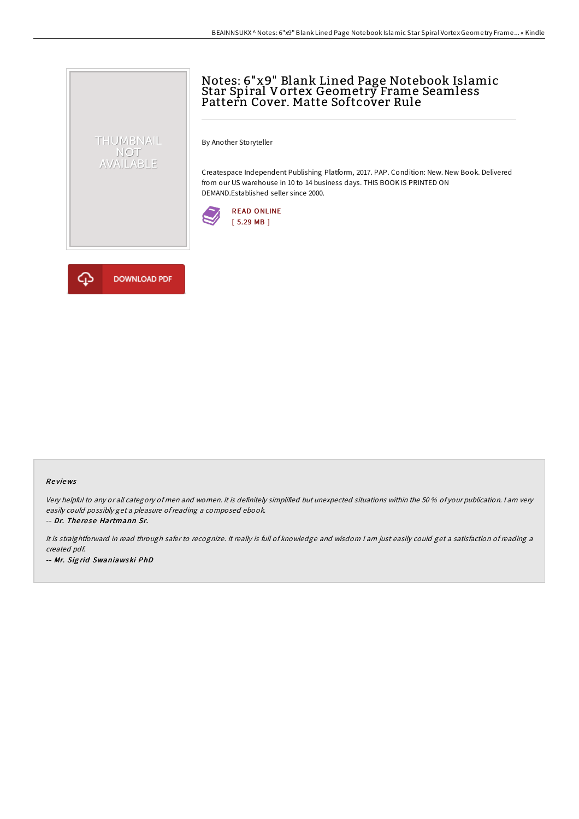# Notes: 6"x9" Blank Lined Page Notebook Islamic Star Spiral Vortex Geometry Frame Seamless Pattern Cover. Matte Softcover Rule

By Another Storyteller

Createspace Independent Publishing Platform, 2017. PAP. Condition: New. New Book. Delivered from our US warehouse in 10 to 14 business days. THIS BOOK IS PRINTED ON DEMAND.Established seller since 2000.





THUMBNAIL NOT<br>AVAILABLE

### Re views

Very helpful to any or all category of men and women. It is definitely simplified but unexpected situations within the 50 % of your publication. <sup>I</sup> am very easily could possibly get <sup>a</sup> pleasure ofreading <sup>a</sup> composed ebook.

-- Dr. The re se Hartmann Sr.

It is straightforward in read through safer to recognize. It really is full of knowledge and wisdom <sup>I</sup> am just easily could get <sup>a</sup> satisfaction of reading <sup>a</sup> created pdf. -- Mr. Sig rid Swaniawski PhD